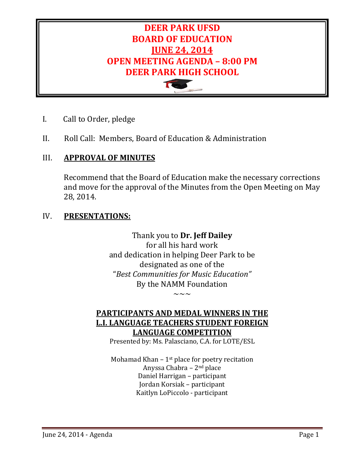

- I. Call to Order, pledge
- II. Roll Call: Members, Board of Education & Administration

# III. **APPROVAL OF MINUTES**

Recommend that the Board of Education make the necessary corrections and move for the approval of the Minutes from the Open Meeting on May 28, 2014.

### IV. **PRESENTATIONS:**

Thank you to **Dr. Jeff Dailey** for all his hard work and dedication in helping Deer Park to be designated as one of the "*Best Communities for Music Education"* By the NAMM Foundation  $\sim\sim\sim$ 

# **PARTICIPANTS AND MEDAL WINNERS IN THE L.I. LANGUAGE TEACHERS STUDENT FOREIGN LANGUAGE COMPETITION**

Presented by: Ms. Palasciano, C.A. for LOTE/ESL

Mohamad Khan  $-1$ <sup>st</sup> place for poetry recitation Anyssa Chabra – 2nd place Daniel Harrigan – participant Jordan Korsiak – participant Kaitlyn LoPiccolo - participant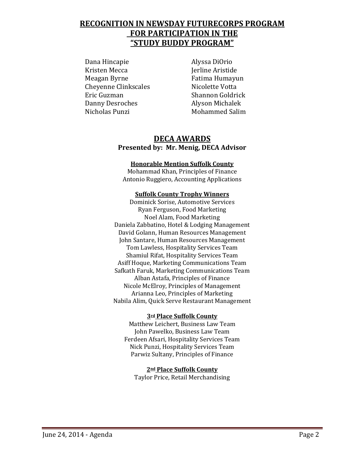# **RECOGNITION IN NEWSDAY FUTURECORPS PROGRAM FOR PARTICIPATION IN THE "STUDY BUDDY PROGRAM"**

Dana Hincapie Alyssa DiOrio Kristen Mecca Jerline Aristide Cheyenne Clinkscales<br>Eric Guzman Danny Desroches<br>Nicholas Punzi

Fatima Humayun<br>Nicolette Votta Shannon Goldrick<br>Alyson Michalek Mohammed Salim

### **DECA AWARDS Presented by: Mr. Menig, DECA Advisor**

#### **Honorable Mention Suffolk County**

Mohammad Khan, Principles of Finance Antonio Ruggiero, Accounting Applications

#### **Suffolk County Trophy Winners**

Dominick Sorise, Automotive Services Ryan Ferguson, Food Marketing Noel Alam, Food Marketing Daniela Zabbatino, Hotel & Lodging Management David Golann, Human Resources Management John Santare, Human Resources Management Tom Lawless, Hospitality Services Team Shamiul Rifat, Hospitality Services Team Asiff Hoque, Marketing Communications Team Safkath Faruk, Marketing Communications Team Alban Astafa, Principles of Finance Nicole McElroy, Principles of Management Arianna Leo, Principles of Marketing Nabila Alim, Quick Serve Restaurant Management

#### **3rd Place Suffolk County**

Matthew Leichert, Business Law Team John Pawelko, Business Law Team Ferdeen Afsari, Hospitality Services Team Nick Punzi, Hospitality Services Team Parwiz Sultany, Principles of Finance

**2nd Place Suffolk County** Taylor Price, Retail Merchandising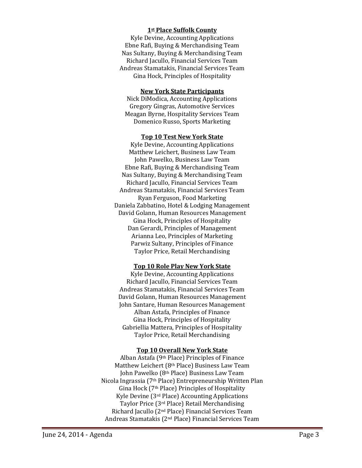#### **1st Place Suffolk County**

Kyle Devine, Accounting Applications Ebne Rafi, Buying & Merchandising Team Nas Sultany, Buying & Merchandising Team Richard Jacullo, Financial Services Team Andreas Stamatakis, Financial Services Team Gina Hock, Principles of Hospitality

#### **New York State Participants**

Nick DiModica, Accounting Applications Gregory Gingras, Automotive Services Meagan Byrne, Hospitality Services Team Domenico Russo, Sports Marketing

#### **Top 10 Test New York State**

Kyle Devine, Accounting Applications Matthew Leichert, Business Law Team John Pawelko, Business Law Team Ebne Rafi, Buying & Merchandising Team Nas Sultany, Buying & Merchandising Team Richard Jacullo, Financial Services Team Andreas Stamatakis, Financial Services Team Ryan Ferguson, Food Marketing Daniela Zabbatino, Hotel & Lodging Management David Golann, Human Resources Management Gina Hock, Principles of Hospitality Dan Gerardi, Principles of Management Arianna Leo, Principles of Marketing Parwiz Sultany, Principles of Finance Taylor Price, Retail Merchandising

#### **Top 10 Role Play New York State**

Kyle Devine, Accounting Applications Richard Jacullo, Financial Services Team Andreas Stamatakis, Financial Services Team David Golann, Human Resources Management John Santare, Human Resources Management Alban Astafa, Principles of Finance Gina Hock, Principles of Hospitality Gabriellia Mattera, Principles of Hospitality Taylor Price, Retail Merchandising

#### **Top 10 Overall New York State**

Alban Astafa (9th Place) Principles of Finance Matthew Leichert (8th Place) Business Law Team John Pawelko (8th Place) Business Law Team Nicola Ingrassia (7th Place) Entrepreneurship Written Plan Gina Hock (7th Place) Principles of Hospitality Kyle Devine (3rd Place) Accounting Applications Taylor Price (3rd Place) Retail Merchandising Richard Jacullo (2nd Place) Financial Services Team Andreas Stamatakis (2nd Place) Financial Services Team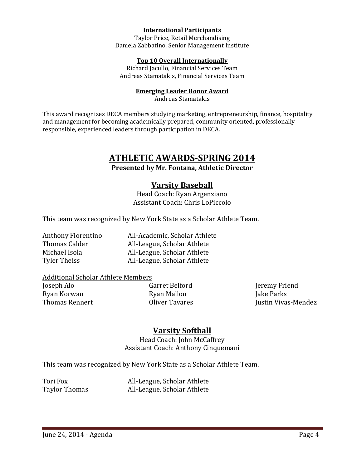#### **International Participants**

Taylor Price, Retail Merchandising Daniela Zabbatino, Senior Management Institute

#### **Top 10 Overall Internationally**

Richard Jacullo, Financial Services Team Andreas Stamatakis, Financial Services Team

#### **Emerging Leader Honor Award**

Andreas Stamatakis

This award recognizes DECA members studying marketing, entrepreneurship, finance, hospitality and management for becoming academically prepared, community oriented, professionally responsible, experienced leaders through participation in DECA.

# **ATHLETIC AWARDS-SPRING 2014**

**Presented by Mr. Fontana, Athletic Director**

### **Varsity Baseball**

Head Coach: Ryan Argenziano Assistant Coach: Chris LoPiccolo

This team was recognized by New York State as a Scholar Athlete Team.

Anthony Fiorentino All-Academic, Scholar Athlete<br>Thomas Calder All-League. Scholar Athlete Thomas Calder **All-League, Scholar Athlete**<br>Michael Isola **All-League, Scholar Athlete** Michael Isola **All-League, Scholar Athlete**<br>Tyler Theiss **All-League, Scholar Athlete** All-League, Scholar Athlete

# Additional Scholar Athlete Members<br>Joseph Alo Garret Belford

Joseph Alo Garret Belford Jeremy Friend Ryan Korwan Ryan Mallon Jake Parks

Thomas Rennert **Confluence Colliver Tavares Colliver Tavares** Justin Vivas-Mendez

# **Varsity Softball**

Head Coach: John McCaffrey Assistant Coach: Anthony Cinquemani

This team was recognized by New York State as a Scholar Athlete Team.

Tori Fox **All-League, Scholar Athlete**<br>Taylor Thomas **All-League, Scholar Athlete** All-League, Scholar Athlete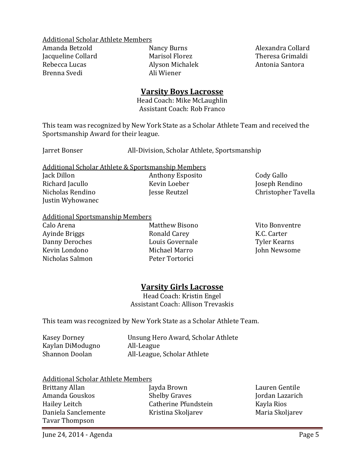Additional Scholar Athlete Members<br>Amanda Betzold Mancy Burns

Jacqueline Collard Marisol Florez Theresa Grimald Rebecca Lucas Alvson Michalek Antonia Santora Brenna Svedi

Alyson Michalek<br>Ali Wiener

Amanda Betzold Nancy Burns Alexandra Collard

# **Varsity Boys Lacrosse**

Head Coach: Mike McLaughlin Assistant Coach: Rob Franco

This team was recognized by New York State as a Scholar Athlete Team and received the Sportsmanship Award for their league.

Jarret Bonser All-Division, Scholar Athlete, Sportsmanship

Additional Scholar Athlete & Sportsmanship Members Jack Dillon Anthony Esposito Cody Gallo Richard Jacullo Kevin Loeber Joseph Rendino Justin Wyhowanec

# Additional Sportsmanship Members

Nicholas Salmon

Calo Arena Matthew Bisono Vito Bonventre Ayinde Briggs Ronald Carey K.C. Carter Danny Deroches Louis Governale<br>
Kevin Londono Michael Marro Michael Marro John Newsome<br>Peter Tortorici

Christopher Tavella

Jordan Lazarich<br>Kayla Rios

Maria Skoljarev

# **Varsity Girls Lacrosse**

Head Coach: Kristin Engel Assistant Coach: Allison Trevaskis

This team was recognized by New York State as a Scholar Athlete Team.

| Kasey Dorney     | Unsung Hero Award, Scholar Athlete |
|------------------|------------------------------------|
| Kaylan DiModugno | All-League                         |
| Shannon Doolan   | All-League, Scholar Athlete        |

| Additional Scholar Athlete Members |  |  |
|------------------------------------|--|--|
|                                    |  |  |

| Brittany Allan      | Jayda Brown          | Lauren Gentile |
|---------------------|----------------------|----------------|
| Amanda Gouskos      | <b>Shelby Graves</b> | Jordan Lazaric |
| Hailey Leitch       | Catherine Pfundstein | Kayla Rios     |
| Daniela Sanclemente | Kristina Skoljarev   | Maria Skoljare |
| Tavar Thompson      |                      |                |
|                     |                      |                |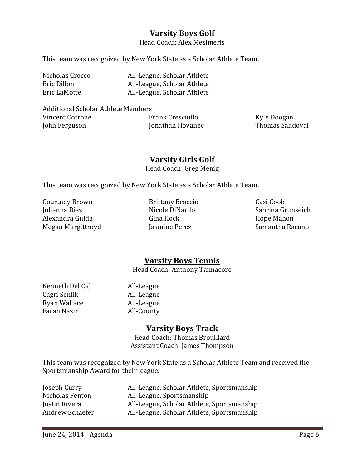# **Varsity Boys Golf**

Head Coach: Alex Mesimeris

This team was recognized by New York State as a Scholar Athlete Team.

| Nicholas Crocco | All-League, Scholar Athlete |
|-----------------|-----------------------------|
| Eric Dillon     | All-League, Scholar Athlete |
| Eric LaMotte    | All-League, Scholar Athlete |

Additional Scholar Athlete Members<br>Vincent Cotrone Frank Cresciullo Vincent Cotrone Frank Cresciullo Kyle Doogan

Jonathan Hovanec

**Varsity Girls Golf**

Head Coach: Greg Menig

This team was recognized by New York State as a Scholar Athlete Team.

Courtney Brown Brittany Broccio Casi Cook Alexandra Guida Gina Hock Hope Mahon Megan Murgittroyd

Nicole DiNardo Sabrina Grunseich<br>Gina Hock Hope Mahon

# **Varsity Boys Tennis**

Head Coach: Anthony Tannacore

Kenneth Del Cid All-League<br>Cagri Senlik All-League Cagri Senlik All-League<br>Ryan Wallace All-League Ryan Wallace<br>Faran Nazir

All-County

# **Varsity Boys Track**

Head Coach: Thomas Brouillard Assistant Coach: James Thompson

This team was recognized by New York State as a Scholar Athlete Team and received the Sportsmanship Award for their league.

| Joseph Curry    | All-League, Scholar Athlete, Sportsmanship |
|-----------------|--------------------------------------------|
| Nicholas Fenton | All-League, Sportsmanship                  |
| Justin Rivera   | All-League, Scholar Athlete, Sportsmanship |
| Andrew Schaefer | All-League, Scholar Athlete, Sportsmanship |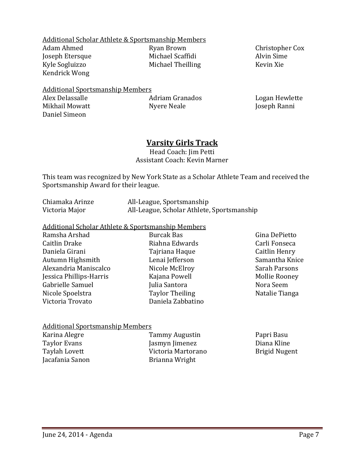Additional Scholar Athlete & Sportsmanship Members Ryan Brown Christopher Cox<br>Michael Scaffidi Christopher Cox Joseph Etersque Michael Scaffidi Alvin Sime Michael Theilling Kendrick Wong

# Additional Sportsmanship Members

Daniel Simeon

Alex Delassalle Adriam Granados Logan Hewlette

Joseph Ranni

# **Varsity Girls Track**

Head Coach: Jim Petti Assistant Coach: Kevin Marner

This team was recognized by New York State as a Scholar Athlete Team and received the Sportsmanship Award for their league.

| Chiamaka Arinze | All-League, Sportsmanship                  |
|-----------------|--------------------------------------------|
| Victoria Major  | All-League, Scholar Athlete, Sportsmanship |

# Additional Scholar Athlete & Sportsmanship Members

Ramsha Arshad Burcak Bas Gina DePietto <br>Caitlin Drake Riahna Edwards Carli Fonseca Caitlin Drake Riahna Edwards Carli Fonseca Daniela Girani Tajriana Haque Caitlin Henry Autumn Highsmith Lenai Jefferson Samantha Knice Alexandria Maniscalco Nicole McElroy Sarah Parsons Jessica Phillips-Harris Kajana Powell Mollie Rooney Gabrielle Samuel Julia Santora Nora Seem<br>Nicole Spoelstra Taylor Theiling Natalie Tianga Nicole Spoelstra Faylor Theiling<br>
Victoria Trovato<br>
Paniela Zabbatino Victoria Trovato

#### Additional Sportsmanship Members

| Karina Alegre   | Tammy Augustin     | Papri Basu    |
|-----------------|--------------------|---------------|
| Taylor Evans    | Jasmyn Jimenez     | Diana Kline   |
| Taylah Lovett   | Victoria Martorano | Brigid Nugent |
| Jacafania Sanon | Brianna Wright     |               |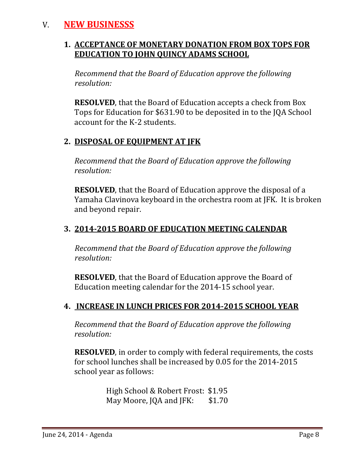# V. **NEW BUSINESSS**

# **1. ACCEPTANCE OF MONETARY DONATION FROM BOX TOPS FOR EDUCATION TO JOHN QUINCY ADAMS SCHOOL**

 *Recommend that the Board of Education approve the following resolution:*

**RESOLVED**, that the Board of Education accepts a check from Box Tops for Education for \$631.90 to be deposited in to the JQA School account for the K-2 students.

# **2. DISPOSAL OF EQUIPMENT AT JFK**

*Recommend that the Board of Education approve the following resolution:*

**RESOLVED**, that the Board of Education approve the disposal of a Yamaha Clavinova keyboard in the orchestra room at JFK. It is broken and beyond repair.

# **3. 2014-2015 BOARD OF EDUCATION MEETING CALENDAR**

 *Recommend that the Board of Education approve the following resolution:*

**RESOLVED**, that the Board of Education approve the Board of Education meeting calendar for the 2014-15 school year.

# **4. INCREASE IN LUNCH PRICES FOR 2014-2015 SCHOOL YEAR**

*Recommend that the Board of Education approve the following resolution:*

**RESOLVED**, in order to comply with federal requirements, the costs for school lunches shall be increased by 0.05 for the 2014-2015 school year as follows:

> High School & Robert Frost: \$1.95<br>May Moore, JOA and JFK: \$1.70 May Moore, JQA and JFK: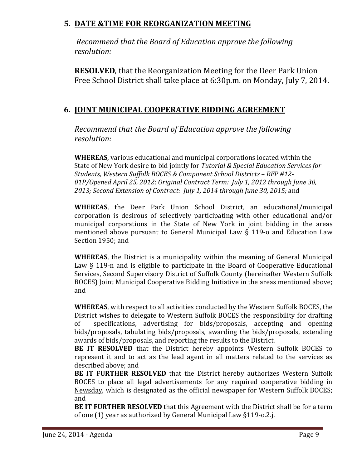# **5. DATE &TIME FOR REORGANIZATION MEETING**

*Recommend that the Board of Education approve the following resolution:*

**RESOLVED**, that the Reorganization Meeting for the Deer Park Union Free School District shall take place at 6:30p.m. on Monday, July 7, 2014.

# **6. JOINT MUNICIPAL COOPERATIVE BIDDING AGREEMENT**

*Recommend that the Board of Education approve the following resolution:*

**WHEREAS**, various educational and municipal corporations located within the State of New York desire to bid jointly for *Tutorial & Special Education Services for Students, Western Suffolk BOCES & Component School Districts – RFP #12- 01P/Opened April 25, 2012; Original Contract Term: July 1, 2012 through June 30, 2013; Second Extension of Contract: July 1, 2014 through June 30, 2015;* and

**WHEREAS**, the Deer Park Union School District, an educational/municipal corporation is desirous of selectively participating with other educational and/or municipal corporations in the State of New York in joint bidding in the areas mentioned above pursuant to General Municipal Law § 119-o and Education Law Section 1950; and

**WHEREAS**, the District is a municipality within the meaning of General Municipal Law § 119-n and is eligible to participate in the Board of Cooperative Educational Services, Second Supervisory District of Suffolk County (hereinafter Western Suffolk BOCES) Joint Municipal Cooperative Bidding Initiative in the areas mentioned above; and

**WHEREAS**, with respect to all activities conducted by the Western Suffolk BOCES, the District wishes to delegate to Western Suffolk BOCES the responsibility for drafting of specifications, advertising for bids/proposals, accepting and opening bids/proposals, tabulating bids/proposals, awarding the bids/proposals, extending awards of bids/proposals, and reporting the results to the District.

**BE IT RESOLVED** that the District hereby appoints Western Suffolk BOCES to represent it and to act as the lead agent in all matters related to the services as described above; and

**BE IT FURTHER RESOLVED** that the District hereby authorizes Western Suffolk BOCES to place all legal advertisements for any required cooperative bidding in Newsday, which is designated as the official newspaper for Western Suffolk BOCES; and

**BE IT FURTHER RESOLVED** that this Agreement with the District shall be for a term of one (1) year as authorized by General Municipal Law §119-o.2.j.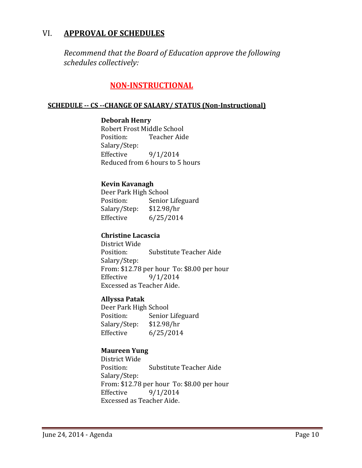# VI. **APPROVAL OF SCHEDULES**

*Recommend that the Board of Education approve the following schedules collectively:*

# **NON-INSTRUCTIONAL**

#### **SCHEDULE -- CS --CHANGE OF SALARY/ STATUS (Non-Instructional)**

#### **Deborah Henry**

Robert Frost Middle School<br>Position: Teacher Aid Teacher Aide Salary/Step:<br>Effective Effective 9/1/2014 Reduced from 6 hours to 5 hours

#### **Kevin Kavanagh**

Deer Park High School<br>Position: Senior Senior Lifeguard<br>\$12.98/hr Salary/Step:<br>Effective  $6/25/2014$ 

#### **Christine Lacascia**

District Wide Substitute Teacher Aide Salary/Step: From: \$12.78 per hour To: \$8.00 per hour<br>Effective 9/1/2014 Effective 9/1/2014 Excessed as Teacher Aide.

#### **Allyssa Patak**

Deer Park High School<br>Position: Senior Senior Lifeguard<br>\$12.98/hr Salary/Step:<br>Effective  $6/25/2014$ 

### **Maureen Yung**

District Wide **Substitute Teacher Aide** Salary/Step: From: \$12.78 per hour To: \$8.00 per hour<br>Effective 9/1/2014  $9/1/2014$ Excessed as Teacher Aide.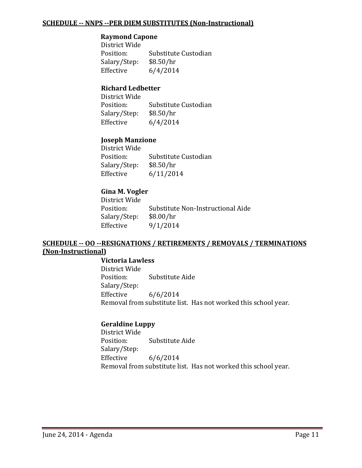#### **SCHEDULE -- NNPS --PER DIEM SUBSTITUTES (Non-Instructional)**

#### **Raymond Capone**

District Wide<br>Position: Substitute Custodian<br>\$8.50/hr Salary/Step:<br>Effective  $6/4/2014$ 

#### **Richard Ledbetter**

District Wide Substitute Custodian<br>\$8.50/hr Salary/Step:<br>Effective  $6/4/2014$ 

#### **Joseph Manzione**

District Wide Substitute Custodian<br>\$8.50/hr Salary/Step: Effective 6/11/2014

#### **Gina M. Vogler**

District Wide Substitute Non-Instructional Aide<br>\$8.00/hr Salary/Step:<br>Effective  $9/1/2014$ 

#### **SCHEDULE -- OO --RESIGNATIONS / RETIREMENTS / REMOVALS / TERMINATIONS (Non-Instructional)**

#### **Victoria Lawless**

District Wide Substitute Aide Salary/Step:<br>Effective  $6/6/2014$ Removal from substitute list. Has not worked this school year.

#### **Geraldine Luppy**

District Wide Substitute Aide Salary/Step:<br>Effective  $6/6/2014$ Removal from substitute list. Has not worked this school year.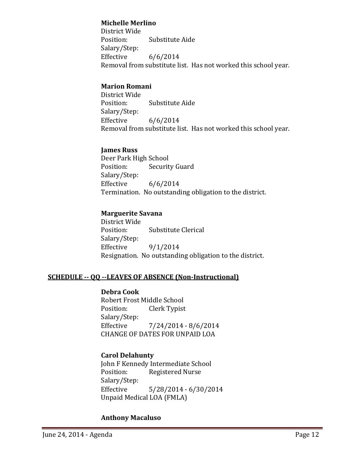#### **Michelle Merlino**

District Wide Substitute Aide Salary/Step:<br>Effective  $6/6/2014$ Removal from substitute list. Has not worked this school year.

### **Marion Romani**

District Wide Substitute Aide Salary/Step:  $6/6/2014$ Removal from substitute list. Has not worked this school year.

#### **James Russ**

Deer Park High School<br>Position: Securit **Security Guard** Salary/Step:<br>Effective  $6/6/2014$ Termination. No outstanding obligation to the district.

#### **Marguerite Savana**

District Wide Substitute Clerical Salary/Step:  $9/1/2014$ Resignation. No outstanding obligation to the district.

#### **SCHEDULE -- QQ --LEAVES OF ABSENCE (Non-Instructional)**

#### **Debra Cook**

Robert Frost Middle School<br>Position: Clerk Typist Clerk Typist Salary/Step:<br>Effective  $7/24/2014 - 8/6/2014$ CHANGE OF DATES FOR UNPAID LOA

#### **Carol Delahunty**

John F Kennedy Intermediate School<br>Position: Registered Nurse Registered Nurse Salary/Step: Effective 5/28/2014 - 6/30/2014 Unpaid Medical LOA (FMLA)

#### **Anthony Macaluso**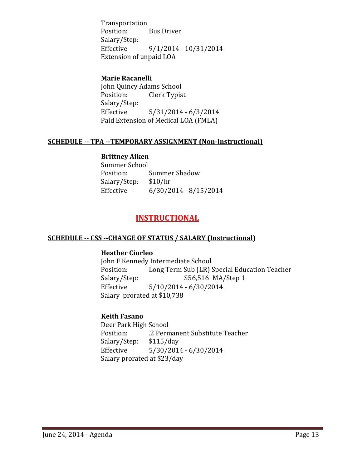Transportation **Bus Driver** Salary/Step: Effective 9/1/2014 - 10/31/2014 Extension of unpaid LOA

#### **Marie Racanelli**

John Quincy Adams School<br>Position: Clerk Typis Clerk Typist Salary/Step:<br>Effective  $5/31/2014 - 6/3/2014$ Paid Extension of Medical LOA (FMLA)

#### **SCHEDULE -- TPA --TEMPORARY ASSIGNMENT (Non-Instructional)**

#### **Brittney Aiken**

Summer School<br>Position: Summer Shadow<br>\$10/hr Salary/Step:<br>Effective  $6/30/2014 - 8/15/2014$ 

# **INSTRUCTIONAL**

#### **SCHEDULE -- CSS --CHANGE OF STATUS / SALARY (Instructional)**

#### **Heather Ciurleo**

John F Kennedy Intermediate School<br>Position: Long Term Sub (LR) S Position: Long Term Sub (LR) Special Education Teacher<br>Salary/Step: \$56,516 MA/Step 1 Salary/Step: \$56,516 MA/Step 1<br>Effective 5/10/2014 - 6/30/2014  $5/10/2014 - 6/30/2014$ Salary prorated at \$10,738

#### **Keith Fasano**

Deer Park High School .2 Permanent Substitute Teacher<br>\$115/day Salary/Step: Effective 5/30/2014 - 6/30/2014 Salary prorated at \$23/day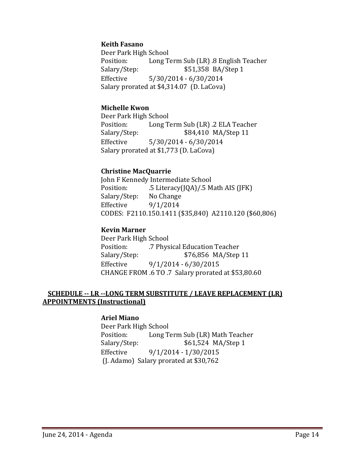#### **Keith Fasano**

Deer Park High School<br>Position: Long T Position: Long Term Sub (LR) .8 English Teacher<br>Salary/Step: \$51,358 BA/Step 1 Salary/Step: \$51,358 BA/Step 1<br>Effective 5/30/2014 - 6/30/2014  $5/30/2014 - 6/30/2014$ Salary prorated at \$4,314.07 (D. LaCova)

#### **Michelle Kwon**

Deer Park High School Position: Long Term Sub (LR) .2 ELA Teacher<br>Salary/Step: \$84,410 MA/Step 11 \$84,410 MA/Step 11 Effective 5/30/2014 - 6/30/2014 Salary prorated at \$1,773 (D. LaCova)

#### **Christine MacQuarrie**

John F Kennedy Intermediate School<br>Position: 5 Literacy(IOA)/.5 M .5 Literacy(JQA)/.5 Math AIS (JFK)<br>No Change Salary/Step:<br>Effective  $9/1/2014$ CODES: F2110.150.1411 (\$35,840) A2110.120 (\$60,806)

#### **Kevin Marner**

Deer Park High School<br>Position: 7 Phys Position: .7 Physical Education Teacher \$76,856 MA/Step 11 Effective 9/1/2014 - 6/30/2015 CHANGE FROM .6 TO .7 Salary prorated at \$53,80.60

#### **SCHEDULE -- LR --LONG TERM SUBSTITUTE / LEAVE REPLACEMENT (LR) APPOINTMENTS (Instructional)**

#### **Ariel Miano**

Deer Park High School Position: Long Term Sub (LR) Math Teacher<br>Salary/Step: \$61,524 MA/Step 1 \$61,524 MA/Step 1 Effective 9/1/2014 - 1/30/2015 (J. Adamo) Salary prorated at \$30,762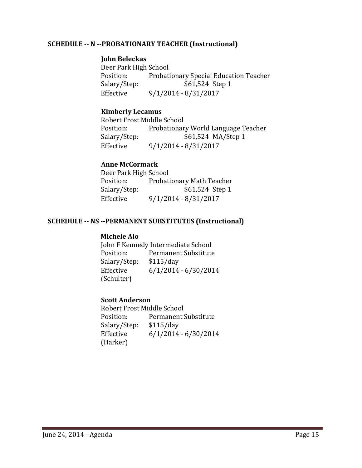#### **SCHEDULE -- N --PROBATIONARY TEACHER (Instructional)**

#### **John Beleckas**

Deer Park High School Position: Probationary Special Education Teacher<br>Salary/Step: \$61,524 Step 1 \$61,524 Step 1 Effective 9/1/2014 - 8/31/2017

#### **Kimberly Lecamus**

Robert Frost Middle School<br>Position: Probationar Position: Probationary World Language Teacher<br>Salary/Step: \$61,524 MA/Step 1 \$61,524 MA/Step 1 Effective 9/1/2014 - 8/31/2017

#### **Anne McCormack**

| Deer Park High School |                                  |
|-----------------------|----------------------------------|
| Position:             | <b>Probationary Math Teacher</b> |
| Salary/Step:          | \$61,524 Step 1                  |
| Effective             | $9/1/2014 - 8/31/2017$           |

#### **SCHEDULE -- NS --PERMANENT SUBSTITUTES (Instructional)**

#### **Michele Alo**

John F Kennedy Intermediate School<br>Position: Permanent Substitute Permanent Substitute<br>\$115/day Salary/Step:<br>Effective  $6/1/2014 - 6/30/2014$ (Schulter)

#### **Scott Anderson**

Robert Frost Middle School<br>Position: Permanent ! Permanent Substitute<br>\$115/day Salary/Step:<br>Effective  $6/1/2014 - 6/30/2014$ (Harker)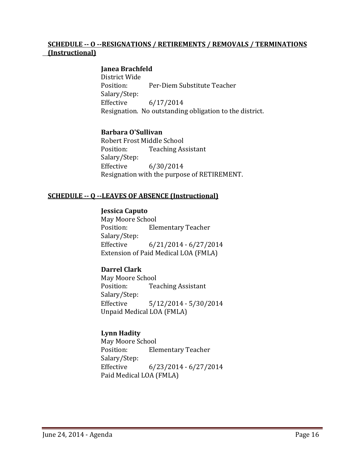#### **SCHEDULE -- O --RESIGNATIONS / RETIREMENTS / REMOVALS / TERMINATIONS (Instructional)**

#### **Janea Brachfeld**

District Wide Per-Diem Substitute Teacher Salary/Step:<br>Effective Effective 6/17/2014 Resignation. No outstanding obligation to the district.

#### **Barbara O'Sullivan**

Robert Frost Middle School<br>Position: Teaching As **Teaching Assistant** Salary/Step: Effective 6/30/2014 Resignation with the purpose of RETIREMENT.

#### **SCHEDULE -- Q --LEAVES OF ABSENCE (Instructional)**

#### **Jessica Caputo**

May Moore School<br>Position: Ele **Elementary Teacher** Salary/Step:<br>Effective  $6/21/2014 - 6/27/2014$ Extension of Paid Medical LOA (FMLA)

#### **Darrel Clark**

May Moore School<br>Position: Tea **Teaching Assistant** Salary/Step:<br>Effective  $5/12/2014 - 5/30/2014$ Unpaid Medical LOA (FMLA)

#### **Lynn Hadity**

May Moore School<br>Position: Ele **Elementary Teacher** Salary/Step:<br>Effective  $6/23/2014 - 6/27/2014$ Paid Medical LOA (FMLA)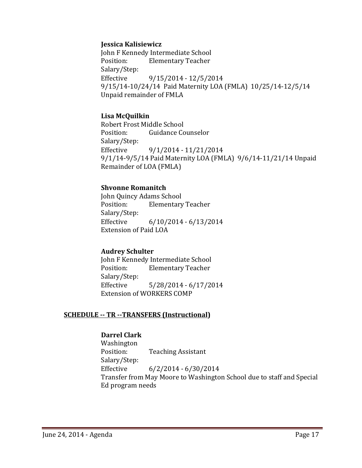#### **Jessica Kalisiewicz**

John F Kennedy Intermediate School<br>Position: Elementary Teacher **Elementary Teacher** Salary/Step:  $9/15/2014 - 12/5/2014$ 9/15/14-10/24/14 Paid Maternity LOA (FMLA) 10/25/14-12/5/14 Unpaid remainder of FMLA

#### **Lisa McQuilkin**

Robert Frost Middle School<br>Position: Guidance Co Guidance Counselor Salary/Step: Effective 9/1/2014 - 11/21/2014 9/1/14-9/5/14 Paid Maternity LOA (FMLA) 9/6/14-11/21/14 Unpaid Remainder of LOA (FMLA)

#### **Shvonne Romanitch**

John Quincy Adams School<br>Position: Elementary **Elementary Teacher** Salary/Step:<br>Effective  $6/10/2014 - 6/13/2014$ Extension of Paid LOA

#### **Audrey Schulter**

John F Kennedy Intermediate School **Elementary Teacher** Salary/Step: Effective 5/28/2014 - 6/17/2014 Extension of WORKERS COMP

#### **SCHEDULE -- TR --TRANSFERS (Instructional)**

#### **Darrel Clark**

Washington<br>Position: **Teaching Assistant** Salary/Step: Effective 6/2/2014 - 6/30/2014 Transfer from May Moore to Washington School due to staff and Special Ed program needs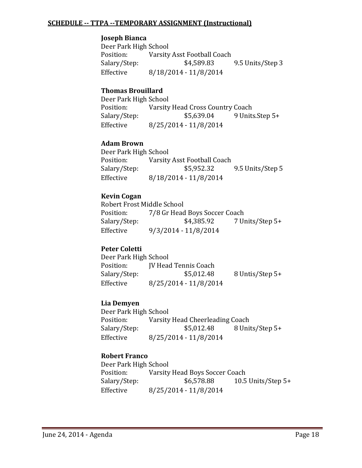#### **SCHEDULE -- TTPA --TEMPORARY ASSIGNMENT (Instructional)**

#### **Joseph Bianca**

Deer Park High School<br>Position: Varsity Position: Varsity Asst Football Coach<br>Salary/Step: \$4,589.83 Salary/Step: \$4,589.83 9.5 Units/Step 3<br>Effective 8/18/2014 - 11/8/2014 Effective 8/18/2014 - 11/8/2014

#### **Thomas Brouillard**

Deer Park High School<br>Position: Varsity Varsity Head Cross Country Coach<br>\$5,639.04 9 Units.Step 5+ Salary/Step:<br>Effective Effective 8/25/2014 - 11/8/2014

#### **Adam Brown**

Deer Park High School<br>Position: Varsity Position: Varsity Asst Football Coach<br>Salary/Step: \$5,952.32 9.5 Units/Step 5 Effective 8/18/2014 - 11/8/2014

#### **Kevin Cogan**

Robert Frost Middle School<br>Position: 7/8 Gr Head Position: 7/8 Gr Head Boys Soccer Coach<br>Salary/Step: \$4,385.92 7 U 7 Units/Step 5+ Effective 9/3/2014 - 11/8/2014

#### **Peter Coletti**

| Deer Park High School |                       |                 |
|-----------------------|-----------------------|-----------------|
| Position:             | IV Head Tennis Coach  |                 |
| Salary/Step:          | \$5,012.48            | 8 Untis/Step 5+ |
| Effective             | 8/25/2014 - 11/8/2014 |                 |

#### **Lia Demyen**

Deer Park High School<br>Position: Varsity Position: Varsity Head Cheerleading Coach<br>Salary/Step: \$5,012.48 8 Uni 8 Units/Step 5+ Effective 8/25/2014 - 11/8/2014

#### **Robert Franco**

| Deer Park High School |                                |                      |
|-----------------------|--------------------------------|----------------------|
| Position:             | Varsity Head Boys Soccer Coach |                      |
| Salary/Step:          | \$6,578.88                     | 10.5 Units/Step $5+$ |
| Effective             | 8/25/2014 - 11/8/2014          |                      |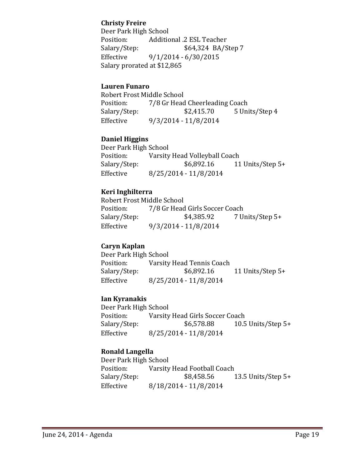#### **Christy Freire**

Deer Park High School<br>Position: Additic Position: Additional .2 ESL Teacher<br>Salary/Step: \$64,324 BA/S Salary/Step: \$64,324 BA/Step 7<br>Effective 9/1/2014 - 6/30/2015  $9/1/2014 - 6/30/2015$ Salary prorated at \$12,865

#### **Lauren Funaro**

Robert Frost Middle School<br>Position: 7/8 Gr Head Position: 7/8 Gr Head Cheerleading Coach<br>Salary/Step: \$2,415.70 5 Uni 5 Units/Step 4 Effective 9/3/2014 - 11/8/2014

#### **Daniel Higgins**

Deer Park High School<br>Position: Varsity Position: Varsity Head Volleyball Coach<br>Salary/Step: \$6,892.16 11 11 Units/Step  $5+$ Effective 8/25/2014 - 11/8/2014

#### **Keri Inghilterra**

Robert Frost Middle School<br>Position: 7/8 Gr Head Position: 7/8 Gr Head Girls Soccer Coach<br>Salary/Step: \$4,385.92 7 U Salary/Step: \$4,385.92 7 Units/Step 5+<br>Effective 9/3/2014 - 11/8/2014 Effective 9/3/2014 - 11/8/2014

#### **Caryn Kaplan**

Deer Park High School<br>Position: Varsity Position: Varsity Head Tennis Coach<br>Salary/Step: \$6,892.16 Salary/Step: \$6,892.16 11 Units/Step 5+<br>Effective 8/25/2014 - 11/8/2014 Effective 8/25/2014 - 11/8/2014

#### **Ian Kyranakis**

Deer Park High School<br>Position: Varsity Position: Varsity Head Girls Soccer Coach<br>Salary/Step: \$6,578.88 10.5 Salary/Step: \$6,578.88 10.5 Units/Step 5+<br>Effective 8/25/2014 - 11/8/2014 Effective 8/25/2014 - 11/8/2014

#### **Ronald Langella**

Deer Park High School<br>Position: Varsity Position: Varsity Head Football Coach<br>Salary/Step: \$8,458.56 13.5 Units/Step  $5+$ Effective 8/18/2014 - 11/8/2014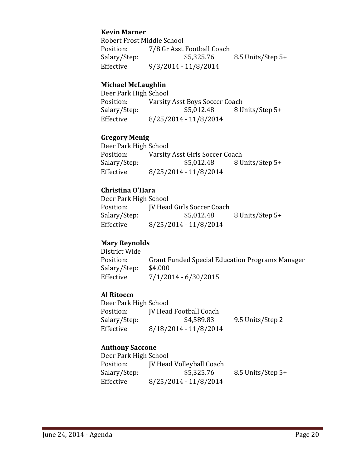#### **Kevin Marner**

Robert Frost Middle School<br>Position: 7/8 Gr Asst Position: 7/8 Gr Asst Football Coach<br>Salary/Step: \$5,325.76 Salary/Step: \$5,325.76 8.5 Units/Step 5+<br>Effective 9/3/2014 - 11/8/2014 Effective 9/3/2014 - 11/8/2014

#### **Michael McLaughlin**

Deer Park High School<br>Position: Varsity Position: Varsity Asst Boys Soccer Coach<br>Salary/Step: \$5,012.48 8 U Salary/Step: \$5,012.48 8 Units/Step 5+<br>Effective 8/25/2014 - 11/8/2014 Effective 8/25/2014 - 11/8/2014

#### **Gregory Menig**

Deer Park High School<br>Position: Varsity Position: Varsity Asst Girls Soccer Coach<br>Salary/Step: \$5,012.48 8 U Salary/Step: \$5,012.48 8 Units/Step 5+<br>Effective 8/25/2014 - 11/8/2014 Effective 8/25/2014 - 11/8/2014

#### **Christina O'Hara**

Deer Park High School<br>Position: [V Head Position: JV Head Girls Soccer Coach<br>Salary/Step: \$5,012.48 Salary/Step: \$5,012.48 8 Units/Step 5+<br>Effective 8/25/2014 - 11/8/2014 Effective 8/25/2014 - 11/8/2014

#### **Mary Reynolds**

District Wide Grant Funded Special Education Programs Manager \$4,000 Salary/Step:<br>Effective  $7/1/2014 - 6/30/2015$ 

#### **Al Ritocco**

| Deer Park High School |                               |                  |
|-----------------------|-------------------------------|------------------|
| Position:             | <b>IV Head Football Coach</b> |                  |
| Salary/Step:          | \$4,589.83                    | 9.5 Units/Step 2 |
| Effective             | $8/18/2014 - 11/8/2014$       |                  |

#### **Anthony Saccone**

| Deer Park High School |                                 |                   |
|-----------------------|---------------------------------|-------------------|
| Position:             | <b>JV Head Volleyball Coach</b> |                   |
| Salary/Step:          | \$5,325.76                      | 8.5 Units/Step 5+ |
| Effective             | $8/25/2014 - 11/8/2014$         |                   |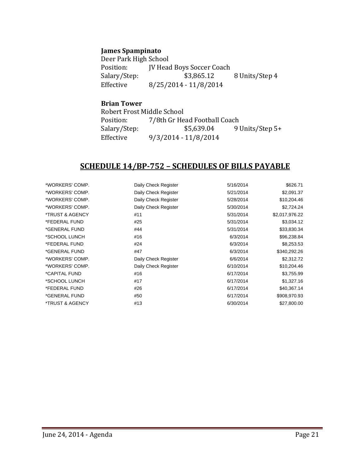#### **James Spampinato**

Deer Park High School<br>Position: **IV Head** Position: JV Head Boys Soccer Coach<br>Salary/Step: \$3,865.12 Salary/Step: \$3,865.12 8 Units/Step 4<br>Effective 8/25/2014 - 11/8/2014 Effective 8/25/2014 - 11/8/2014

#### **Brian Tower**

Robert Frost Middle School<br>Position: 7/8th Gr He Position: 7/8th Gr Head Football Coach<br>Salary/Step: \$5,639.04 91 Salary/Step: \$5,639.04 9 Units/Step 5+<br>Effective 9/3/2014 - 11/8/2014 Effective 9/3/2014 - 11/8/2014

### **SCHEDULE 14/BP-752 – SCHEDULES OF BILLS PAYABLE**

| *WORKERS' COMP. | Daily Check Register | 5/16/2014 | \$626.71       |
|-----------------|----------------------|-----------|----------------|
| *WORKERS' COMP. | Daily Check Register | 5/21/2014 | \$2,091.37     |
| *WORKERS' COMP. | Daily Check Register | 5/28/2014 | \$10,204.46    |
| *WORKERS' COMP. | Daily Check Register | 5/30/2014 | \$2,724.24     |
| *TRUST & AGENCY | #11                  | 5/31/2014 | \$2,017,976.22 |
| *FEDERAL FUND   | #25                  | 5/31/2014 | \$3,034.12     |
| *GENERAL FUND   | #44                  | 5/31/2014 | \$33,830.34    |
| *SCHOOL LUNCH   | #16                  | 6/3/2014  | \$96,238.84    |
| *FEDERAL FUND   | #24                  | 6/3/2014  | \$8,253.53     |
| *GENERAL FUND   | #47                  | 6/3/2014  | \$340,292.26   |
| *WORKERS' COMP. | Daily Check Register | 6/6/2014  | \$2,312.72     |
| *WORKERS' COMP. | Daily Check Register | 6/10/2014 | \$10,204.46    |
| *CAPITAL FUND   | #16                  | 6/17/2014 | \$3,755.99     |
| *SCHOOL LUNCH   | #17                  | 6/17/2014 | \$1,327.16     |
| *FEDERAL FUND   | #26                  | 6/17/2014 | \$40,367.14    |
| *GENERAL FUND   | #50                  | 6/17/2014 | \$908,970.93   |
| *TRUST & AGENCY | #13                  | 6/30/2014 | \$27,800.00    |
|                 |                      |           |                |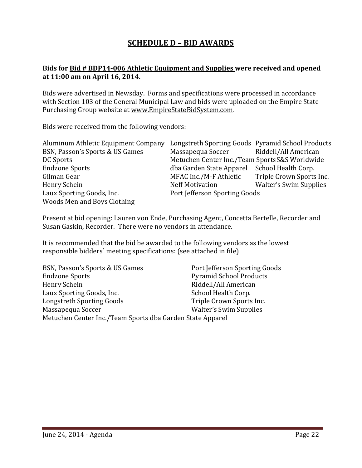# **SCHEDULE D – BID AWARDS**

#### **Bids for Bid # BDP14-006 Athletic Equipment and Supplies were received and opened at 11:00 am on April 16, 2014.**

Bids were advertised in Newsday. Forms and specifications were processed in accordance with Section 103 of the General Municipal Law and bids were uploaded on the Empire State Purchasing Group website at [www.EmpireStateBidSystem.com.](http://www.empirestatebidsystem.com/)

Bids were received from the following vendors:

| Aluminum Athletic Equipment Company | Longstreth Sporting Goods Pyramid School Products |                               |
|-------------------------------------|---------------------------------------------------|-------------------------------|
| BSN, Passon's Sports & US Games     | Massapequa Soccer                                 | Riddell/All American          |
| DC Sports                           | Metuchen Center Inc./Team Sports S&S Worldwide    |                               |
| <b>Endzone Sports</b>               | dba Garden State Apparel                          | School Health Corp.           |
| Gilman Gear                         | MFAC Inc./M-F Athletic                            | Triple Crown Sports Inc.      |
| Henry Schein                        | <b>Neff Motivation</b>                            | <b>Walter's Swim Supplies</b> |
| Laux Sporting Goods, Inc.           | Port Jefferson Sporting Goods                     |                               |
| Woods Men and Boys Clothing         |                                                   |                               |

Present at bid opening: Lauren von Ende, Purchasing Agent, Concetta Bertelle, Recorder and Susan Gaskin, Recorder. There were no vendors in attendance.

It is recommended that the bid be awarded to the following vendors as the lowest responsible bidders` meeting specifications: (see attached in file)

| BSN, Passon's Sports & US Games                           | Port Jefferson Sporting Goods  |
|-----------------------------------------------------------|--------------------------------|
| <b>Endzone Sports</b>                                     | <b>Pyramid School Products</b> |
| Henry Schein                                              | Riddell/All American           |
| Laux Sporting Goods, Inc.                                 | School Health Corp.            |
| Longstreth Sporting Goods                                 | Triple Crown Sports Inc.       |
| Massapequa Soccer                                         | <b>Walter's Swim Supplies</b>  |
| Metuchen Center Inc./Team Sports dba Garden State Apparel |                                |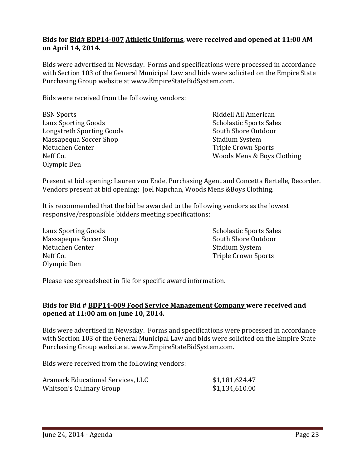#### **Bids for Bid# BDP14-007 Athletic Uniforms, were received and opened at 11:00 AM on April 14, 2014.**

Bids were advertised in Newsday. Forms and specifications were processed in accordance with Section 103 of the General Municipal Law and bids were solicited on the Empire State Purchasing Group website at [www.EmpireStateBidSystem.com.](http://www.empirestatebidsystem.com/)

Bids were received from the following vendors:

| <b>BSN Sports</b>          | Riddell All American           |
|----------------------------|--------------------------------|
| <b>Laux Sporting Goods</b> | <b>Scholastic Sports Sales</b> |
| Longstreth Sporting Goods  | South Shore Outdoor            |
| Massapequa Soccer Shop     | <b>Stadium System</b>          |
| Metuchen Center            | <b>Triple Crown Sports</b>     |
| Neff Co.                   | Woods Mens & Boys Clothing     |
| Olympic Den                |                                |

Present at bid opening: Lauren von Ende, Purchasing Agent and Concetta Bertelle, Recorder. Vendors present at bid opening: Joel Napchan, Woods Mens &Boys Clothing.

It is recommended that the bid be awarded to the following vendors as the lowest responsive/responsible bidders meeting specifications:

Laux Sporting Goods<br>
Massanequa Soccer Shon<br>
South Shore Outdoor Massapequa Soccer Shop South Shore Out<br/>South Shore Out<br/>Metuchen Center Stadium System Stadium System Stadium System Stadium System Stadium System Stadium System Stadium System System System System System System Sys Metuchen Center<br>Neff Co Olympic Den

Triple Crown Sports

Please see spreadsheet in file for specific award information.

#### **Bids for Bid # BDP14-009 Food Service Management Company were received and opened at 11:00 am on June 10, 2014.**

Bids were advertised in Newsday. Forms and specifications were processed in accordance with Section 103 of the General Municipal Law and bids were solicited on the Empire State Purchasing Group website at [www.EmpireStateBidSystem.com.](http://www.empirestatebidsystem.com/)

Bids were received from the following vendors:

| Aramark Educational Services, LLC | \$1,181,624.47 |
|-----------------------------------|----------------|
| Whitson's Culinary Group          | \$1,134,610.00 |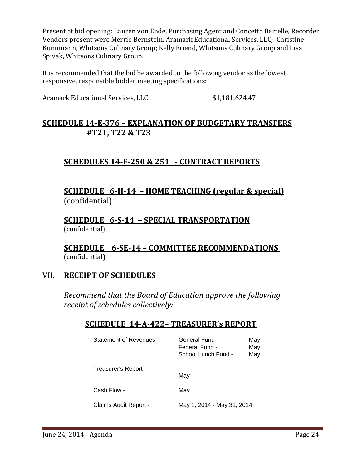Present at bid opening: Lauren von Ende, Purchasing Agent and Concetta Bertelle, Recorder. Vendors present were Merrie Bernstein, Aramark Educational Services, LLC; Christine Kunnmann, Whitsons Culinary Group; Kelly Friend, Whitsons Culinary Group and Lisa Spivak, Whitsons Culinary Group.

It is recommended that the bid be awarded to the following vendor as the lowest responsive, responsible bidder meeting specifications:

Aramark Educational Services, LLC \$1,181,624.47

# **SCHEDULE 14-E-376 – EXPLANATION OF BUDGETARY TRANSFERS #T21, T22 & T23**

# **SCHEDULES 14-F-250 & 251 - CONTRACT REPORTS**

# **SCHEDULE 6-H-14 – HOME TEACHING (regular & special)** (confidential)

**SCHEDULE 6-S-14 – SPECIAL TRANSPORTATION** (confidential)

**SCHEDULE 6-SE-14 – COMMITTEE RECOMMENDATIONS**  (confidential**)**

# VII. **RECEIPT OF SCHEDULES**

*Recommend that the Board of Education approve the following receipt of schedules collectively:*

# **SCHEDULE 14-A-422– TREASURER's REPORT**

| Statement of Revenues -   | General Fund -<br>May<br>Federal Fund -<br>May<br>School Lunch Fund -<br>May |
|---------------------------|------------------------------------------------------------------------------|
| <b>Treasurer's Report</b> | May                                                                          |
| Cash Flow -               | May                                                                          |
| Claims Audit Report -     | May 1, 2014 - May 31, 2014                                                   |